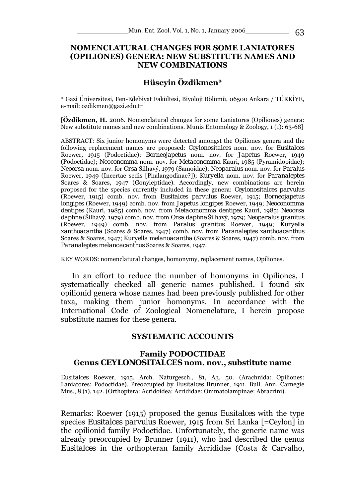#### **NOMENCLATURAL CHANGES FOR SOME LANIATORES (OPILIONES) GENERA: NEW SUBSTITUTE NAMES AND NEW COMBINATIONS**

# **Hüseyin Özdikmen\***

\* Gazi Üniversitesi, Fen-Edebiyat Fakültesi, Biyoloji Bölümü, 06500 Ankara / TÜRKİYE, e-mail: ozdikmen@gazi.edu.tr

[**Özdikmen, H.** 2006. Nomenclatural changes for some Laniatores (Opiliones) genera: New substitute names and new combinations. Munis Entomology & Zoology, 1 (1): 63-68]

ABSTRACT: Six junior homonyms were detected amongst the Opiliones genera and the following replacement names are proposed: *Ceylonositalces* nom. nov. for *Eusitalces*  Roewer, 1915 (Podoctidae); *Borneojapetus* nom. nov. for *Japetus* Roewer, 1949 (Podoctidae); *Neoconomma* nom. nov. for *Metaconomma* Kauri, 1985 (Pyramidopidae); *Neoorsa* nom. nov. for *Orsa* Šilhavý, 1979 (Samoidae); *Neoparalus* nom. nov. for *Paralus*  Roewer, 1949 (Incertae sedis [Phalangodinae?]); *Kuryella* nom. nov. for *Paranaleptes*  Soares & Soares, 1947 (Gonyleptidae). Accordingly, new combinations are herein proposed for the species currently included in these genera: *Ceylonositalces parvulus*  (Roewer, 1915) comb. nov. from *Eusitalces parvulus* Roewer, 1915; *Borneojapetus longipes* (Roewer, 1949) comb. nov. from *Japetus longipes* Roewer, 1949; *Neoconomma dentipes* (Kauri, 1985) comb. nov. from *Metaconomma dentipes* Kauri, 1985; *Neoorsa daphne* (Šilhavý, 1979) comb. nov. from *Orsa daphne* Šilhavý, 1979; *Neoparalus granitus*  (Roewer, 1949) comb. nov. from *Paralus granitus* Roewer, 1949; *Kuryella xanthoacantha* (Soares & Soares, 1947) comb. nov. from *Paranaleptes xanthoacanthus*  Soares & Soares, 1947; *Kuryella melanoacantha* (Soares & Soares, 1947) comb. nov. from *Paranaleptes melanoacanthus* Soares & Soares, 1947.

KEY WORDS: nomenclatural changes, homonymy, replacement names, Opiliones.

In an effort to reduce the number of homonyms in Opiliones, I systematically checked all generic names published. I found six opilionid genera whose names had been previously published for other taxa, making them junior homonyms. In accordance with the International Code of Zoological Nomenclature, I herein propose substitute names for these genera.

#### **SYSTEMATIC ACCOUNTS**

## **Family PODOCTIDAE Genus** *CEYLONOSITALCES* **nom. nov., substitute name**

*Eusitalces* Roewer, 1915. Arch. Naturgesch., 81, A3, 50. (Arachnida: Opiliones: Laniatores: Podoctidae). Preoccupied by *Eusitalces* Brunner, 1911. Bull. Ann. Carnegie Mus., 8 (1), 142. (Orthoptera: Acridoidea: Acrididae: Ommatolampinae: Abracrini).

Remarks: Roewer (1915) proposed the genus *Eusitalces* with the type species *Eusitalces parvulus* Roewer, 1915 from Sri Lanka [=Ceylon] in the opilionid family Podoctidae. Unfortunately, the generic name was already preoccupied by Brunner (1911), who had described the genus *Eusitalces* in the orthopteran family Acrididae (Costa & Carvalho,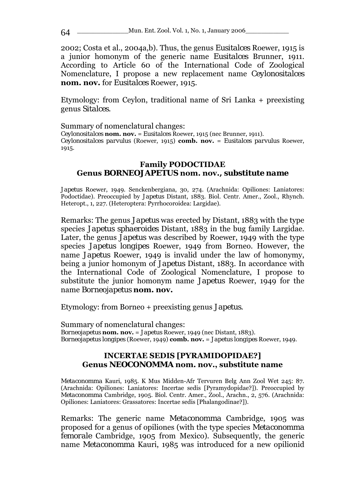2002; Costa et al., 2004a,b). Thus, the genus *Eusitalces* Roewer, 1915 is a junior homonym of the generic name *Eusitalces* Brunner, 1911. According to Article 60 of the International Code of Zoological Nomenclature, I propose a new replacement name *Ceylonositalces* **nom. nov.** for *Eusitalces* Roewer, 1915.

Etymology: from Ceylon, traditional name of Sri Lanka + preexisting genus *Sitalces*.

Summary of nomenclatural changes:

*Ceylonositalces* **nom. nov.** = *Eusitalces* Roewer, 1915 (nec Brunner, 1911). *Ceylonositalces parvulus* (Roewer, 1915) **comb. nov.** = *Eusitalces parvulus* Roewer, 1915.

## **Family PODOCTIDAE Genus** *BORNEOJAPETUS* **nom. nov.***, substitute name*

*Japetus* Roewer, 1949. Senckenbergiana, 30, 274. (Arachnida: Opiliones: Laniatores: Podoctidae). Preoccupied by *Japetus* Distant, 1883. Biol. Centr. Amer., Zool., Rhynch. Heteropt., 1, 227. (Heteroptera: Pyrrhocoroidea: Largidae).

Remarks: The genus *Japetus* was erected by Distant, 1883 with the type species *Japetus sphaeroides* Distant, 1883 in the bug family Largidae. Later, the genus *Japetus* was described by Roewer, 1949 with the type species *Japetus longipes* Roewer, 1949 from Borneo. However, the name *Japetus* Roewer, 1949 is invalid under the law of homonymy, being a junior homonym of *Japetus* Distant, 1883. In accordance with the International Code of Zoological Nomenclature, I propose to substitute the junior homonym name *Japetus* Roewer, 1949 for the name *Borneojapetus* **nom. nov.**

Etymology: from Borneo + preexisting genus *Japetus*.

Summary of nomenclatural changes: *Borneojapetus* **nom. nov.** = *Japetus* Roewer, 1949 (nec Distant, 1883). *Borneojapetus longipes* (Roewer, 1949) **comb. nov.** = *Japetus longipes* Roewer, 1949.

## **INCERTAE SEDIS [PYRAMIDOPIDAE?] Genus** *NEOCONOMMA* **nom. nov., substitute name**

*Metaconomma* Kauri, 1985. K Mus Midden-Afr Tervuren Belg Ann Zool Wet 245: 87. (Arachnida: Opiliones: Laniatores: Incertae sedis [Pyramydopidae?]). Preoccupied by *Metaconomma* Cambridge, 1905. Biol. Centr. Amer., Zool., Arachn., 2, 576. (Arachnida: Opiliones: Laniatores: Grassatores: Incertae sedis [Phalangodinae?]).

Remarks: The generic name *Metaconomma* Cambridge, 1905 was proposed for a genus of opiliones (with the type species *Metaconomma femorale* Cambridge, 1905 from Mexico). Subsequently, the generic name *Metaconomma* Kauri, 1985 was introduced for a new opilionid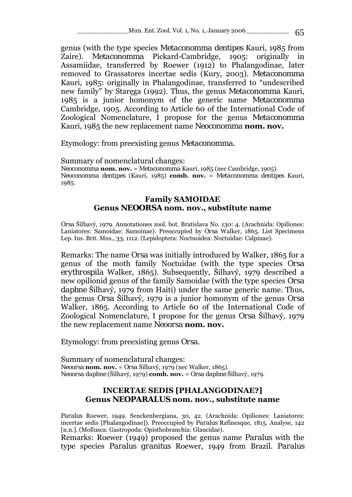genus (with the type species *Metaconomma dentipes* Kauri, 1985 from Zaire). *Metaconomma* Pickard-Cambridge, 1905: originally in Assamiidae, transferred by Roewer (1912) to Phalangodinae, later removed to Grassatores incertae sedis (Kury, 2003). *Metaconomma* Kauri, 1985: originally in Phalangodinae, transferred to "undescribed new family" by Staręga (1992). Thus, the genus *Metaconomma* Kauri, 1985 is a junior homonym of the generic name *Metaconomma*  Cambridge, 1905. According to Article 60 of the International Code of Zoological Nomenclature, I propose for the genus *Metaconomma*  Kauri, 1985 the new replacement name *Neoconomma* **nom. nov.**

Etymology: from preexisting genus *Metaconomma*.

Summary of nomenclatural changes: *Neoconomma* **nom. nov.** = *Metaconomma* Kauri, 1985 (nec Cambridge, 1905). *Neoconomma dentipes* (Kauri, 1985) **comb. nov.** = *Metaconomma dentipes* Kauri, 1985.

## **Family SAMOIDAE Genus** *NEOORSA* **nom. nov., substitute name**

*Orsa* Šilhavý, 1979. Annotationes zool. bot. Bratislava No. 130: 4. (Arachnida: Opiliones: Laniatores: Samoidae: Samoinae). Preoccupied by *Orsa* Walker, 1865. List Specimens Lep. Ins. Brit. Mus., 33, 1112. (Lepidoptera: Noctuoidea: Noctuidae: Calpinae).

Remarks: The name *Orsa* was initially introduced by Walker, 1865 for a genus of the moth family Noctuidae (with the type species *Orsa erythrospila* Walker, 1865). Subsequently, Šilhavý, 1979 described a new opilionid genus of the family Samoidae (with the type species *Orsa daphne* Šilhavý, 1979 from Haiti) under the same generic name. Thus, the genus *Orsa* Šilhavý, 1979 is a junior homonym of the genus *Orsa*  Walker, 1865. According to Article 60 of the International Code of Zoological Nomenclature, I propose for the genus *Orsa* Šilhavý, 1979 the new replacement name *Neoorsa* **nom. nov.**

Etymology: from preexisting genus *Orsa*.

Summary of nomenclatural changes: *Neoorsa* **nom. nov.** = *Orsa* Šilhavý, 1979 (nec Walker, 1865). *Neoorsa daphne* (Šilhavý, 1979) **comb. nov.** = *Orsa daphne* Šilhavý, 1979.

# **INCERTAE SEDIS [PHALANGODINAE?] Genus** *NEOPARALUS* **nom. nov., substitute name**

*Paralus* Roewer, 1949. Senckenbergiana, 30, 42. (Arachnida: Opiliones: Laniatores: incertae sedis [Phalangodinae]). Preoccupied by *Paralus* Rafinesque, 1815. Analyse, 142 [n.n.]. (Mollusca: Gastropoda: Opisthobranchia: Glaucidae).

Remarks: Roewer (1949) proposed the genus name *Paralus* with the type species *Paralus granitus* Roewer, 1949 from Brazil. *Paralus*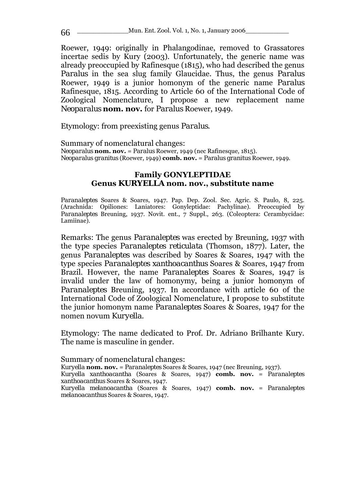Roewer, 1949: originally in Phalangodinae, removed to Grassatores incertae sedis by Kury (2003). Unfortunately, the generic name was already preoccupied by Rafinesque (1815), who had described the genus *Paralus* in the sea slug family Glaucidae. Thus, the genus *Paralus*  Roewer, 1949 is a junior homonym of the generic name *Paralus*  Rafinesque, 1815. According to Article 60 of the International Code of Zoological Nomenclature, I propose a new replacement name *Neoparalus* **nom. nov.** for *Paralus* Roewer, 1949.

Etymology: from preexisting genus *Paralus*.

Summary of nomenclatural changes: *Neoparalus* **nom. nov.** = *Paralus* Roewer, 1949 (nec Rafinesque, 1815). *Neoparalus granitus* (Roewer, 1949) **comb. nov.** = *Paralus granitus* Roewer, 1949.

## **Family GONYLEPTIDAE Genus** *KURYELLA* **nom. nov., substitute name**

*Paranaleptes* Soares & Soares, 1947. Pap. Dep. Zool. Sec. Agric. S. Paulo, 8, 225. (Arachnida: Opiliones: Laniatores: Gonyleptidae: Pachylinae). Preoccupied by *Paranaleptes* Breuning, 1937. Novit. ent., 7 Suppl., 263. (Coleoptera: Cerambycidae: Lamiinae).

Remarks: The genus *Paranaleptes* was erected by Breuning, 1937 with the type species *Paranaleptes reticulata* (Thomson, 1877). Later, the genus *Paranaleptes* was described by Soares & Soares, 1947 with the type species *Paranaleptes xanthoacanthus* Soares & Soares, 1947 from Brazil. However, the name *Paranaleptes* Soares & Soares, 1947 is invalid under the law of homonymy, being a junior homonym of *Paranaleptes* Breuning, 1937. In accordance with article 60 of the International Code of Zoological Nomenclature, I propose to substitute the junior homonym name *Paranaleptes* Soares & Soares, 1947 for the nomen novum *Kuryella*.

Etymology: The name dedicated to Prof. Dr. Adriano Brilhante Kury. The name is masculine in gender.

Summary of nomenclatural changes: *Kuryella* **nom. nov.** = *Paranaleptes* Soares & Soares, 1947 (nec Breuning, 1937). *Kuryella xanthoacantha* (Soares & Soares, 1947) **comb. nov.** = *Paranaleptes xanthoacanthus* Soares & Soares, 1947. *Kuryella melanoacantha* (Soares & Soares, 1947) **comb. nov.** = *Paranaleptes melanoacanthus* Soares & Soares, 1947.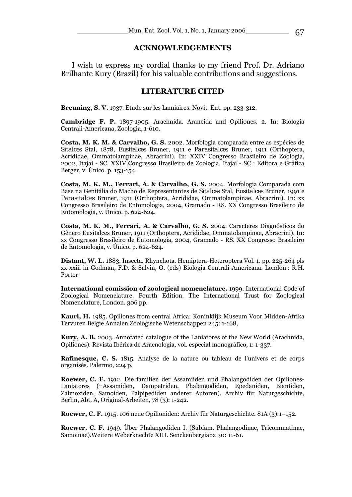#### **ACKNOWLEDGEMENTS**

 I wish to express my cordial thanks to my friend Prof. Dr. Adriano Brilhante Kury (Brazil) for his valuable contributions and suggestions.

#### **LITERATURE CITED**

**Breuning, S. V.** 1937. Etude sur les Lamiaires. Novit. Ent. pp. 233-312.

**Cambridge F. P.** 1897-1905. Arachnida. Araneida and Opiliones. 2. In: Biologia Centrali-Americana, Zoologia, 1-610.

**Costa, M. K. M. & Carvalho, G. S.** 2002. Morfologia comparada entre as espécies de *Sitalces* Stal, 1878, *Eusitalces* Bruner, 1911 e *Parasitalces* Bruner, 1911 (Orthoptera, Acrididae, Ommatolampinae, Abracrini). In: XXIV Congresso Brasileiro de Zoologia, 2002, Itajaí - SC. XXIV Congresso Brasileiro de Zoologia. Itajaí - SC : Editora e Gráfica Berger, v. Único. p. 153-154.

**Costa, M. K. M., Ferrari, A. & Carvalho, G. S.** 2004. Morfologia Comparada com Base na Genitália do Macho de Representantes de *Sitalces* Stal, *Eusitalces* Bruner, 1991 e *Parasitalces* Bruner, 1911 (Orthoptera, Acrididae, Ommatolampinae, Abracrini). In: xx Congresso Brasileiro de Entomologia, 2004, Gramado - RS. XX Congresso Brasileiro de Entomologia, v. Único. p. 624-624.

**Costa, M. K. M., Ferrari, A. & Carvalho, G. S.** 2004. Caracteres Diagnósticos do Gênero Eusitalces Bruner, 1911 (Orthoptera, Acrididae, Ommatolampinae, Abracrini). In: xx Congresso Brasileiro de Entomologia, 2004, Gramado - RS. XX Congresso Brasileiro de Entomologia, v. Único. p. 624-624.

**Distant, W. L.** 1883. Insecta. Rhynchota. Hemiptera-Heteroptera Vol. 1. pp. 225-264 pls xx-xxiii in Godman, F.D. & Salvin, O. (eds) Biologia Centrali-Americana. London : R.H. Porter

**International comission of zoological nomenclature.** 1999. International Code of Zoological Nomenclature. Fourth Edition. The International Trust for Zoological Nomenclature, London. 306 pp.

**Kauri, H.** 1985. Opiliones from central Africa: Koninklijk Museum Voor Midden-Afrika Tervuren Belgie Annalen Zoologische Wetenschappen 245: 1-168,

**Kury, A. B.** 2003. Annotated catalogue of the Laniatores of the New World (Arachnida, Opiliones). Revista Ibérica de Aracnología, vol. especial monográfico, 1: 1-337.

**Rafinesque, C. S.** 1815. Analyse de la nature ou tableau de l'univers et de corps organisés. Palermo, 224 p.

**Roewer, C. F.** 1912. Die familien der Assamiiden und Phalangodiden der Opiliones-Laniatores (=Assamiden, Dampetriden, Phalangodiden, Epedaniden, Biantiden, Zalmoxiden, Samoiden, Palpipediden anderer Autoren). Archiv für Naturgeschichte, Berlin, Abt. A, Original-Arbeiten, 78 (3): 1-242.

**Roewer, C. F.** 1915. 106 neue Opilioniden: Archiv für Naturgeschichte. 81A (3):1–152.

**Roewer, C. F.** 1949. Über Phalangodiden I. (Subfam. Phalangodinae, Tricommatinae, Samoinae).Weitere Weberknechte XIII. Senckenbergiana 30: 11-61.